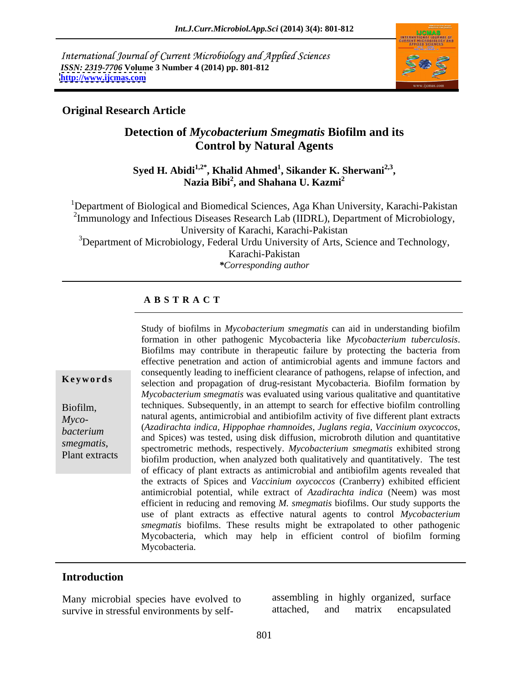International Journal of Current Microbiology and Applied Sciences *ISSN: 2319-7706* **Volume 3 Number 4 (2014) pp. 801-812 <http://www.ijcmas.com>**



### **Original Research Article**

### **Detection of** *Mycobacterium Smegmatis* **Biofilm and its Control by Natural Agents**

**Syed H. Abidi1,2\* , Khalid Ahmed<sup>1</sup> , Sikander K. Sherwani2,3** idi<sup>1,2\*</sup>, Khalid Ahmed<sup>1</sup>, Sikander K. Sherwani<sup>2,3</sup>,<br>Nazia Bibi<sup>2</sup>, and Shahana U. Kazmi<sup>2</sup> **, and Shahana U. Kazmi<sup>2</sup>**

<sup>1</sup>Department of Biological and Biomedical Sciences, Aga Khan University, Karachi-Pakistan <sup>2</sup>Immunology and Infectious Diseases Research Lab (IIDRL), Department of Microbiology, University of Karachi, Karachi-Pakistan <sup>3</sup>Department of Microbiology, Federal Urdu University of Arts, Science and Technology, Karachi-Pakistan *\*Corresponding author*

#### **A B S T R A C T**

**Keywords** selection and propagation of drug-resistant Mycobacteria. Biofilm formation by Biofilm, techniques. Subsequently, in an attempt to search for effective biofilm controlling *Myco*-<br> **I** natural agents, antimicrobial and antibiofilm activity of five different plant extracts *bacterium* (*Azadirachta indica, Hippophae rhamnoides, Juglans regia, Vaccinium oxycoccos,* and Spices) was tested, using disk diffusion, microbroth dilution and quantitative smegmatis,<br>
spectrometric methods, respectively. *Mycobacterium smegmatis* exhibited strong<br>
Plant extracts<br>
biofilm production, when analyzed both qualitatively and quantitatively. The test Study of biofilms in *Mycobacterium smegmatis* can aid in understanding biofilm formation in other pathogenic Mycobacteria like *Mycobacterium tuberculosis*. Biofilms may contribute in therapeutic failure by protecting the bacteria from effective penetration and action of antimicrobial agents and immune factors and consequently leading to inefficient clearance of pathogens, relapse of infection, and *Mycobacterium smegmatis* was evaluated using various qualitative and quantitative (*Azadirachta indica, Hippophae rhamnoides, Juglans regia, Vaccinium oxycoccos*, and Spices) was tested, using disk diffusion, microbroth dilution and quantitative biofilm production, when analyzed both qualitatively and quantitatively. The test of efficacy of plant extracts as antimicrobial and antibiofilm agents revealed that the extracts of Spices and *Vaccinium oxycoccos* (Cranberry) exhibited efficient antimicrobial potential, while extract of *Azadirachta indica* (Neem) was most efficient in reducing and removing *M. smegmatis* biofilms. Our study supports the use of plant extracts as effective natural agents to control *Mycobacterium smegmatis* biofilms. These results might be extrapolated to other pathogenic Mycobacteria, which may help in efficient control of biofilm forming Mycobacteria.

#### **Introduction**

Many microbial species have evolved to assembling in highly organized, surface survive in stressful environments by self- attached, and matrix encapsulated

Many microbial species have evolved to assembling in highly organized, surface<br>survive in stressful environments by self-<br>attached, and matrix encapsulated attached, and matrix encapsulated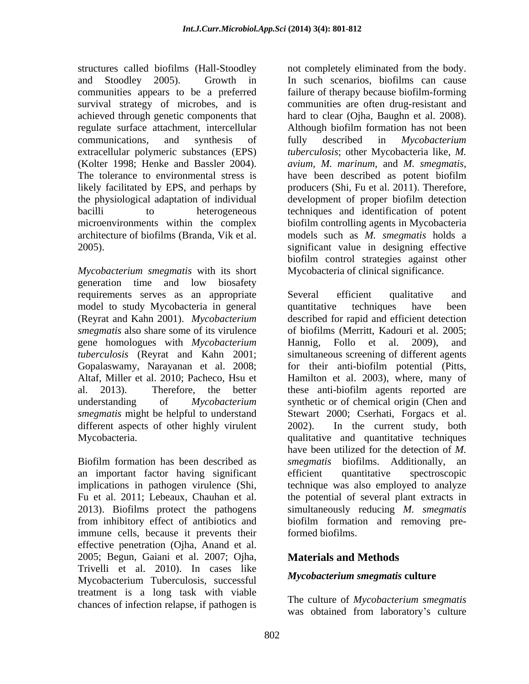structures called biofilms (Hall-Stoodley not completely eliminated from the body. and Stoodley 2005). Growth in In such scenarios, biofilms can cause communities appears to be a preferred failure of therapy because biofilm-forming survival strategy of microbes, and is communities are often drug-resistant and achieved through genetic components that hard to clear (Ojha, Baughn et al. 2008). regulate surface attachment, intercellular communications, and synthesis of fully described in *Mycobacterium* extracellular polymeric substances (EPS) *tuberculosis*; other Mycobacteria like, *M.*  (Kolter 1998; Henke and Bassler 2004). *avium, M. marinum,* and *M. smegmatis*, The tolerance to environmental stress is have been described as potent biofilm likely facilitated by EPS, and perhaps by producers (Shi, Fu et al. 2011). Therefore, the physiological adaptation of individual development of proper biofilm detection bacilli to heterogeneous techniques and identification of potent microenvironments within the complex biofilm controlling agents in Mycobacteria architecture of biofilms (Branda, Vik et al. models such as *M. smegmatis* holds a 2005). significant value in designing effective

*Mycobacterium smegmatis* with its short generation time and low biosafety requirements serves as an appropriate Several efficient qualitative and model to study Mycobacteria in general quantitative techniques have been *smegmatis* also share some of its virulence gene homologues with *Mycobacterium tuberculosis* (Reyrat and Kahn 2001; *smegmatis* might be helpful to understand Stewart 2000; Cserhati, Forgacs et al. different aspects of other highly virulent 2002). In the current study, both

Biofilm formation has been described as *smegmatis* biofilms. Additionally, an an important factor having significant immune cells, because it prevents their effective penetration (Ojha, Anand et al. 2005; Begun, Gaiani et al. 2007; Ojha, Trivelli et al. 2010). In cases like Mycobacterium Tuberculosis, successful treatment is a long task with viable chances of infection relapse, if pathogen is

hard to clear (Ojha, Baughn et al. 2008). Although biofilm formation has not been fully described in *Mycobacterium avium, M. marinum, and M. smegmatis,* have been described as potent biofilm biofilm control strategies against other Mycobacteria of clinical significance.

(Reyrat and Kahn 2001). *Mycobacterium*  described for rapid and efficient detection Gopalaswamy, Narayanan et al. 2008; for their anti-biofilm potential (Pitts, Altaf, Miller et al. 2010; Pacheco, Hsu et Hamilton et al. 2003), where, many of al. 2013). Therefore, the better these anti-biofilm agents reported are understanding of *Mycobacterium*  synthetic or of chemical origin (Chen and Mycobacteria. qualitative and quantitative techniques implications in pathogen virulence (Shi, technique was also employed to analyze Fu et al. 2011; Lebeaux, Chauhan et al. the potential of several plant extracts in 2013). Biofilms protect the pathogens simultaneously reducing *M. smegmatis* from inhibitory effect of antibiotics and biofilm formation and removing pre-Several efficient qualitative and quantitative techniques have been of biofilms (Merritt, Kadouri et al. 2005; Hannig, Follo et al. 2009), and simultaneous screening of different agents Stewart 2000; Cserhati, Forgacs et al. 2002). In the current study, both have been utilized for the detection of *M. smegmatis* biofilms. Additionally, efficient quantitative spectroscopic formed biofilms.

## **Materials and Methods**

### *Mycobacterium smegmatis* **culture**

The culture of *Mycobacterium smegmatis* was obtained from laboratory's culture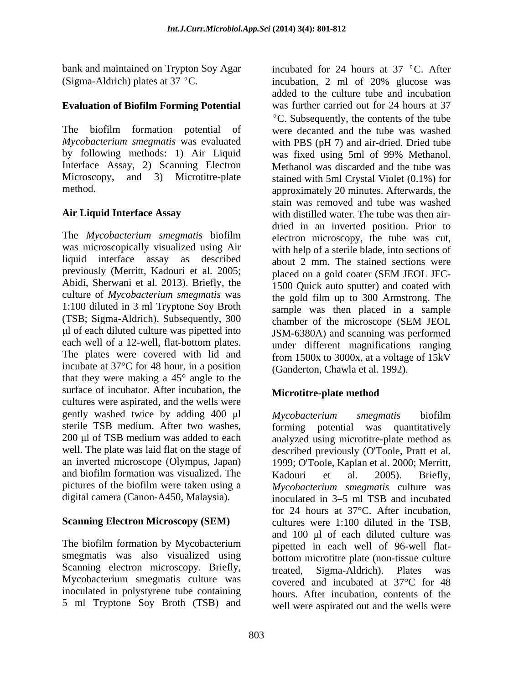bank and maintained on Trypton Soy Agar incubated for 24 hours at 37 °C. After (Sigma-Aldrich) plates at 37 °C. incubation, 2 ml of 20% glucose was

### **Evaluation of Biofilm Forming Potential**

by following methods: 1) Air Liquid was fixed using 5ml of 99% Methanol. Interface Assay, 2) Scanning Electron

The *Mycobacterium smegmatis* biofilm was microscopically visualized using Air liquid interface assay as described previously (Merritt, Kadouri et al. 2005; placed on a gold coater (SEM JEOL JFC-Abidi, Sherwani et al. 2013). Briefly, the culture of *Mycobacterium smegmatis* was 1:100 diluted in 3 ml Tryptone Soy Broth (TSB; Sigma-Aldrich). Subsequently, 300 l of each diluted culture was pipetted into each well of a 12-well, flat-bottom plates. The plates were covered with lid and incubate at 37°C for 48 hour, in a position that they were making a 45° angle to the surface of incubator. After incubation, the **Microtitre-plate method** cultures were aspirated, and the wells were gently washed twice by adding  $400 \mu l$  Mycobacterium smegmatis biofilm sterile TSB medium. After two washes, 200 µl of TSB medium was added to each analyzed using microtitre-plate method as well. The plate was laid flat on the stage of described previously (O'Toole, Pratt et al. an inverted microscope (Olympus, Japan) 1999; O'Toole, Kaplan et al. 2000; Merritt, and biofilm formation was visualized. The Kadouri et al. 2005). Briefly, pictures of the biofilm were taken using a *Mycobacterium smegmatis* culture was

The biofilm formation by Mycobacterium smegmatis was also visualized using Scanning electron microscopy. Briefly, treated, Sigma-Aldrich). Plates was Mycobacterium smegmatis culture was covered and incubated at 37°C for 48 inoculated in polystyrene tube containing 5 ml Tryptone Soy Broth (TSB) and

The biofilm formation potential of were decanted and the tube was washed *Mycobacterium smegmatis* was evaluated with PBS (pH 7) and air-dried. Dried tube Microscopy, and 3) Microtitre-plate stained with 5ml Crystal Violet (0.1%) for method. approximately 20 minutes. Afterwards, the **Air Liquid Interface Assay** with distilled water. The tube was then air incubation, 2 ml of 20% glucose was added to the culture tube and incubation was further carried out for 24 hours at 37  ${}^{\circ}$ C. Subsequently, the contents of the tube was fixed using 5ml of 99% Methanol. Methanol was discarded and the tube was stain was removed and tube was washed dried in an inverted position. Prior to electron microscopy, the tube was cut, with help of a sterile blade, into sections of about 2 mm. The stained sections were placed on a gold coater (SEM JEOL JFC- 1500 Quick auto sputter) and coated with the gold film up to 300 Armstrong. The sample was then placed in a sample chamber of the microscope (SEM JEOL JSM-6380A) and scanning was performed under different magnifications ranging from 1500x to 3000x, at a voltage of 15kV (Ganderton, Chawla et al. 1992).

## **Microtitre-plate method**

digital camera (Canon-A450, Malaysia). inoculated in 3–5 ml TSB and incubated **Scanning Electron Microscopy (SEM)** cultures were 1:100 diluted in the TSB, *Mycobacterium smegmatis* biofilm forming potential was quantitatively Kadouri et al. 2005). Briefly, for 24 hours at 37°C. After incubation, and 100 µl of each diluted culture was pipetted in each well of 96-well flat bottom microtitre plate (non-tissue culture treated, Sigma-Aldrich). Plates was covered and incubated at 37°C for 48 hours. After incubation, contents of the well were aspirated out and the wells were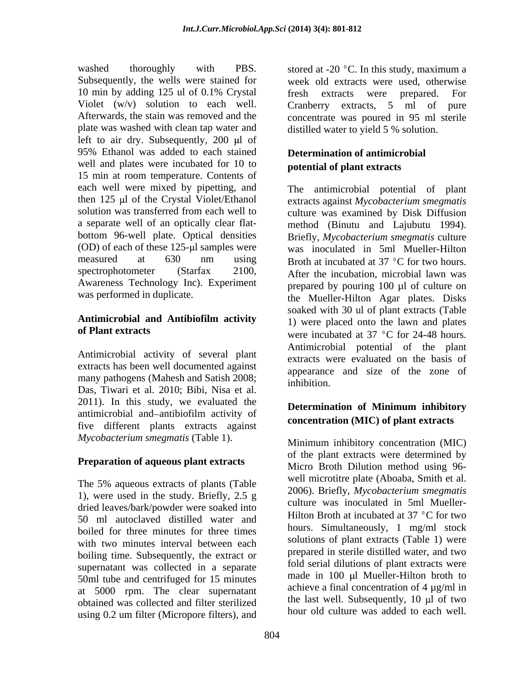washed thoroughly with PBS. stored at -20  $\degree$ C. In this study, maximum a Subsequently, the wells were stained for week old extracts were used, otherwise 10 min by adding 125 ul of 0.1% Crystal Violet  $(w/v)$  solution to each well. Cranberry extracts, 5 ml of pure Afterwards, the stain was removed and the concentrate was poured in 95 ml sterile plate was washed with clean tap water and left to air dry. Subsequently,  $200 \mu l$  of 95% Ethanol was added to each stained **Determination of antimicrobial** well and plates were incubated for 10 to 15 min at room temperature. Contents of each well were mixed by pipetting, and then 125 µl of the Crystal Violet/Ethanol extracts against *Mycobacterium smegmatis* solution was transferred from each well to culture was examined by Disk Diffusion a separate well of an optically clear flat- method (Binutu and Lajubutu 1994). bottom 96-well plate. Optical densities Briefly, *Mycobacterium smegmatis* culture (OD) of each of these 125- l samples were was inoculated in 5ml Mueller-Hilton measured at 630 nm using Broth at incubated at 37 °C for two hours. spectrophotometer (Starfax 2100, After the incubation, microbial lawn was Awareness Technology Inc). Experiment

Antimicrobial activity of several plant extracts has been well documented against many pathogens (Mahesh and Satish 2008; phibition Das, Tiwari et al. 2010; Bibi, Nisa et al. 2011). In this study, we evaluated the **Determination of Minimum inhibitory** antimicrobial and antibiofilm activity of five different plants extracts against *Mycobacterium smegmatis* (Table 1).

#### **Preparation of aqueous plant extracts**

The 5% aqueous extracts of plants (Table 1), were used in the study. Briefly, 2.5 g dried leaves/bark/powder were soaked into 50 ml autoclaved distilled water and boiled for three minutes for three times with two minutes interval between each boiling time. Subsequently, the extract or supernatant was collected in a separate 50ml tube and centrifuged for 15 minutes at 5000 rpm. The clear supernatant obtained was collected and filter sterilized using 0.2 um filter (Micropore filters), and

fresh extracts were prepared. For distilled water to yield 5 % solution.

## **Determination of antimicrobial potential of plant extracts**

was performed in duplicate.<br>the Mueller-Hilton Agar plates. Disks **Antimicrobial and Antibiofilm activity of Plant extracts** were incubated at 37 °C for 24-48 hours. The antimicrobial potential of plant prepared by pouring 100 µl of culture on soaked with 30 ul of plant extracts (Table 1) were placed onto the lawn and plates Antimicrobial potential of the plant extracts were evaluated on the basis of appearance and size of the zone of inhibition.

## **Determination of Minimum inhibitory concentration (MIC) of plant extracts**

Minimum inhibitory concentration (MIC) of the plant extracts were determined by Micro Broth Dilution method using 96 well microtitre plate (Aboaba, Smith et al. 2006). Briefly, *Mycobacterium smegmatis* culture was inoculated in 5ml Mueller- Hilton Broth at incubated at  $37 \degree$ C for two hours. Simultaneously, 1 mg/ml stock solutions of plant extracts (Table 1) were prepared in sterile distilled water, and two fold serial dilutions of plant extracts were made in 100 µl Mueller-Hilton broth to achieve a final concentration of 4 µg/ml in the last well. Subsequently,  $10 \mu$  of two hour old culture was added to each well.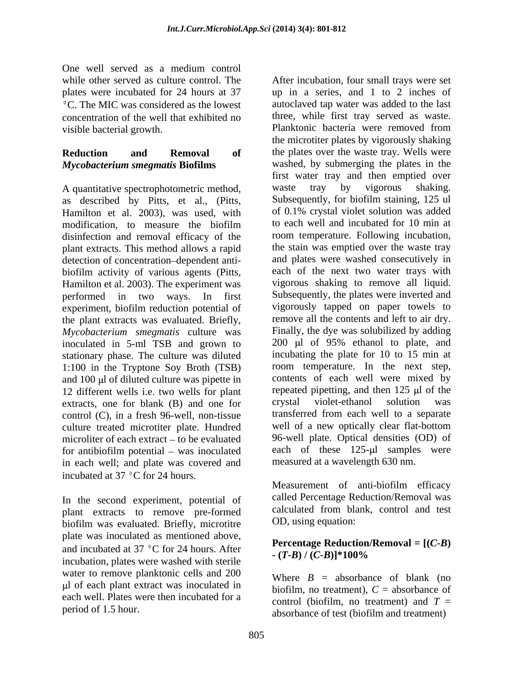One well served as a medium control concentration of the well that exhibited no visible bacterial growth.

# *Mycobacterium smegmatis* **Biofilms**

A quantitative spectrophotometric method, waste tray by vigorous shaking. as described by Pitts, et al., (Pitts, Subsequently, for biofilm staining, 125 ul<br>Hamilton et al. 2003) was used with of 0.1% crystal violet solution was added Hamilton et al. 2003), was used, with modification, to measure the biofilm disinfection and removal efficacy of the plant extracts. This method allows a rapid detection of concentration-dependent antibiofilm activity of various agents (Pitts, Hamilton et al. 2003). The experiment was experiment, biofilm reduction potential of the plant extracts was evaluated. Briefly, *Mycobacterium smegmatis* culture was inoculated in 5-ml TSB and grown to stationary phase. The culture was diluted 1:100 in the Tryptone Soy Broth (TSB) and  $100 \mu l$  of diluted culture was pipette in 12 different wells i.e. two wells for plant repeated pipetting, and then 125 µl extracts one for blank (B) and one for crystal violet-ethanol solution extracts, one for blank (B) and one for crystal violet-ethanol solution was control (C), in a fresh 96-well, non-tissue culture treated microtiter plate. Hundred for antibiofilm potential  $-$  was inoculated in each well; and plate was covered and incubated at 37 °C for 24 hours.<br>Measurement of anti-biofilm efficacy

In the second experiment, potential of plant extracts to remove pre-formed biofilm was evaluated. Briefly, microtitre plate was inoculated as mentioned above,<br> **Percentage Reduction/Removal =**  $[(C-B)$ and incubated at 37 °C for 24 hours. After  $(T-B)/(C-B)$ <sup>\*</sup>100% incubation, plates were washed with sterile water to remove planktonic cells and 200 l of each plant extract was inoculated in each well. Plates were then incubated for a

while other served as culture control. The After incubation, four small trays were set plates were incubated for 24 hours at 37 up in a series, and 1 to 2 inches of C. The MIC was considered as the lowest autoclaved tap water was added to the last **Reduction and Removal of** the plates over the waste tray. Wells were modification, to measure the biofilm to each well and incubated for 10 min at performed in two ways. In first Subsequently, the plates were inverted and microliter of each extract – to be evaluated 96-well plate. Optical densities (OD) of three, while first tray served as waste. Planktonic bacteria were removed from the microtiter plates by vigorously shaking washed, by submerging the plates in the first water tray and then emptied over waste tray by vigorous shaking. Subsequently, for biofilm staining, 125 ul of 0.1% crystal violet solution was added to each well and incubated for 10 min at room temperature. Following incubation, the stain was emptied over the waste tray and plates were washed consecutively in each of the next two water trays with vigorous shaking to remove all liquid. vigorously tapped on paper towels to remove all the contents and left to air dry. Finally, the dye was solubilized by adding  $200$  µl of  $95%$  ethanol to plate, and incubating the plate for 10 to 15 min at room temperature. In the next step, contents of each well were mixed by repeated pipetting, and then 125 µ of the crystal violet-ethanol solution was transferred from each well to a separate well of a new optically clear flat-bottom each of these  $125-\mu l$  samples were measured at a wavelength 630 nm.

> Measurement of anti-biofilm efficacy called Percentage Reduction/Removal was calculated from blank, control and test OD, using equation:

# **Percentage Reduction/Removal <sup>=</sup> [(***C-B***) - (***T-B***) / (***C-B***)]\*100%**

period of 1.5 hour.<br>absorbance of test (biofilm and treatment) Where  $B =$  absorbance of blank (no biofilm, no treatment),  $C =$  absorbance of control (biofilm, no treatment) and  $T =$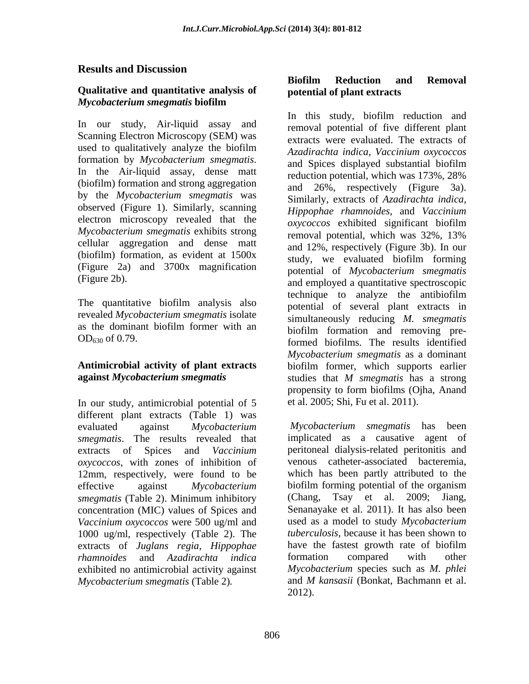### **Results and Discussion**

#### **Qualitative and quantitative analysis of** *Mycobacterium smegmatis* **biofilm**

Scanning Electron Microscopy (SEM) was (biofilm) formation and strong aggregation by the *Mycobacterium smegmatis* was observed (Figure 1). Similarly, scanning electron microscopy revealed that the *oxycoccos* exhibited significant biofilm *Mycobacterium smegmatis* exhibits strong<br>removal potential, which was 32%, 13% cellular aggregation and dense matt (biofilm) formation, as evident at 1500x (Figure 2a) and 3700x magnification

The quantitative biofilm analysis also revealed *Mycobacterium smegmatis* isolate

# **against** *Mycobacterium smegmatis* **by** studies that *M smegmatis* has a strong

In our study, antimicrobial potential of 5 different plant extracts (Table 1) was *smegmatis*. The results revealed that *oxycoccos*, with zones of inhibition of 12mm, respectively, were found to be *smegmatis* (Table 2). Minimum inhibitory concentration (MIC) values of Spices and *Vaccinium oxycoccos* were 500 ug/ml and 1000 ug/ml, respectively (Table 2). The extracts of *Juglans regia, Hippophae rhamnoides* and *Azadirachta indica* exhibited no antimicrobial activity against *Mycobacterium* species such as *M. phlei*<br>*Mycobacterium smegmatis* (Table 2). and *M kansasii* (Bonkat, Bachmann et al.

# **potential of plant extracts**

In this study, biofilm reduction and<br>In our study, Air-liquid assay and removal potential of five different plant used to qualitatively analyze the biofilm  $A_{zadirachta}$  indica Vaccinium opycoccos formation by *Mycobacterium smegmatis*.<br>In the Air-liquid assay, dense matt reduction potential which was 173% 28% (Figure 2b). and employed a quantitative spectroscopic as the dominant biofilm former with an biofilm formation and removing pre-OD630 of 0.79. formed biofilms. The results identified **Antimicrobial activity of plant extracts** biofilm former, which supports earlier **Onalitative and quantitative analysis of <b>Botherin Removal**<br> **Mycobacterium smegmatics bubilin Removal** and **E** and **E** and **E** and **E** and **E** and **E** and **E** and **E** and **E** and **E** and **E** and **E** and **E** and **E** a In this study, biofilm reduction and removal potential of five different plant extracts were evaluated. The extracts of *Azadirachta indica, Vaccinium oxycoccos* and Spices displayed substantial biofilm reduction potential, which was 173%, 28% and 26%, respectively (Figure 3a). Similarly, extracts of *Azadirachta indica, Hippophae rhamnoides,* and *Vaccinium oxycoccos* exhibited significant biofilm removal potential, which was 32%, 13% and 12%, respectively (Figure 3b). In our study, we evaluated biofilm forming potential of *Mycobacterium smegmatis* technique to analyze the antibiofilm potential of several plant extracts in simultaneously reducing *M. smegmatis* biofilm formation and removing pre-*Mycobacterium smegmatis* as a dominant studies that *M smegmatis* has a strong propensity to form biofilms (Ojha, Anand et al. 2005; Shi, Fu et al. 2011).

evaluated against *Mycobacterium Mycobacterium smegmatis* has been extracts of Spices and *Vaccinium* peritoneal dialysis-related peritonitis and effective against *Mycobacterium*  biofilm forming potential of the organism implicated as a causative agent of venous catheter-associated bacteremia, which has been partly attributed to the Tsay et al. 2009; Jiang, Senanayake et al. 2011). It has also been used as a model to study *Mycobacterium tuberculosis,* because it has been shown to have the fastest growth rate of biofilm formation compared with other *Mycobacterium* species such as *M. phlei* and *M kansasii* (Bonkat, Bachmann et al. 2012).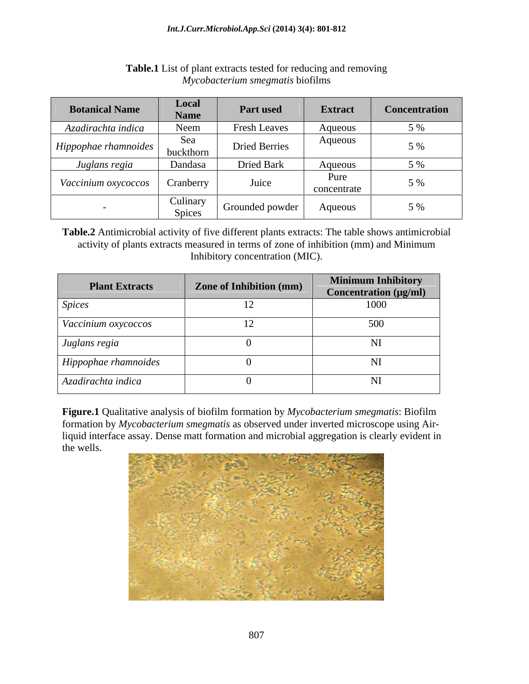| <b>Botanical Name</b>  | <b>Local</b><br>Name | Part used            | Extract             | <b>Concentration</b>            |
|------------------------|----------------------|----------------------|---------------------|---------------------------------|
| Azadirachta indica     | Neem                 | <b>Fresh Leaves</b>  | Aqueous             |                                 |
| $Hippophae$ rhamnoides | Sea<br>buckthorn     | <b>Dried Berries</b> | Aqueous             | $\frac{6}{10}$<br>$\sim$ $\sim$ |
| Juglans regia          | Dandasa              | Dried Bark           | Aqueous             | 5 %                             |
| Vaccinium oxycoccos    | Cranberry            | Juice                | Pure<br>concentrate | , 9 <sub>0</sub>                |
|                        | Culinary<br>Spices   | Grounded powder      | Aqueous             | 5 %                             |

#### **Table.1** List of plant extracts tested for reducing and removing *Mycobacterium smegmatis* biofilms

**Table.2** Antimicrobial activity of five different plants extracts: The table shows antimicrobial activity of plants extracts measured in terms of zone of inhibition (mm) and Minimum Inhibitory concentration (MIC).

| <b>Plant Extracts</b> | <b>Zone of Inhibition (mm)</b> | <b>Minimum Inhibitory</b><br>Concentration (µg/ml) |
|-----------------------|--------------------------------|----------------------------------------------------|
| <i>Spices</i>         |                                | 1000                                               |
| Vaccinium oxycoccos   |                                | 500                                                |
| Juglans regia         |                                | NI.                                                |
| Hippophae rhamnoides  |                                | NI.                                                |
| Azadirachta indica    |                                | NI                                                 |

**Figure.1** Qualitative analysis of biofilm formation by *Mycobacterium smegmatis*: Biofilm formation by *Mycobacterium smegmatis* as observed under inverted microscope using Airliquid interface assay. Dense matt formation and microbial aggregation is clearly evident in the wells.

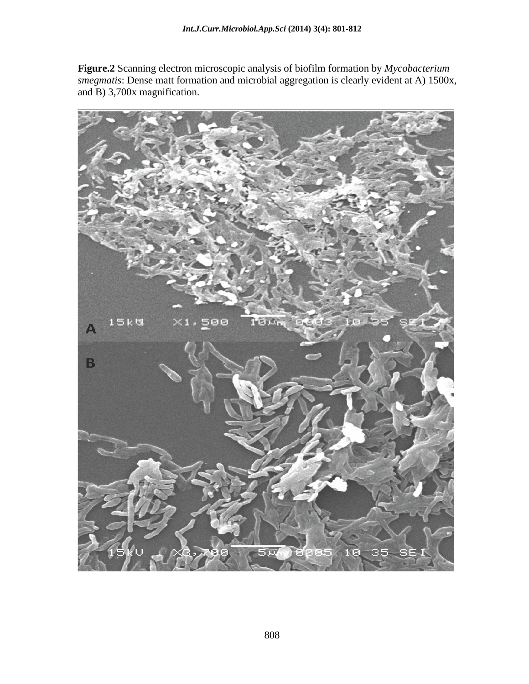**Figure.2** Scanning electron microscopic analysis of biofilm formation by *Mycobacterium smegmatis*: Dense matt formation and microbial aggregation is clearly evident at A) 1500x, and B) 3,700x magnification.

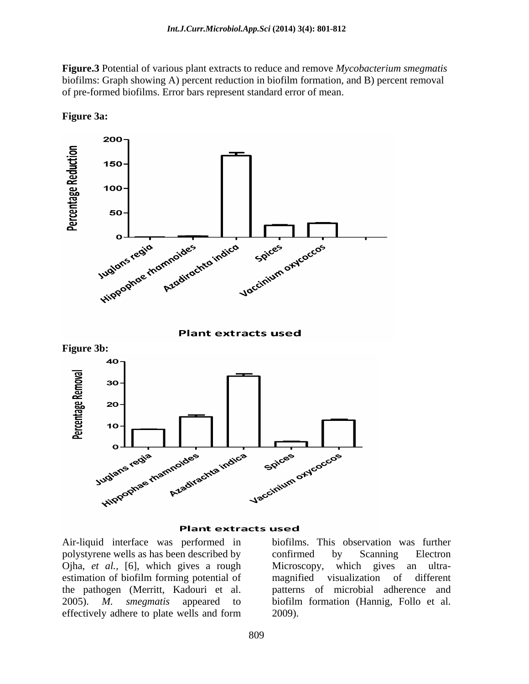**Figure.3** Potential of various plant extracts to reduce and remove *Mycobacterium smegmatis* biofilms: Graph showing A) percent reduction in biofilm formation, and B) percent removal of pre-formed biofilms. Error bars represent standard error of mean.



**Figure 3a:**

#### **Plant extracts used**

polystyrene wells as has been described by Ojha, *et al.*, [6], which gives a rough Microscopy, which gives an ultraestimation of biofilm forming potential of magnified visualization of different the pathogen (Merritt, Kadouri et al. 2005). *M. smegmatis* appeared to biofilm formation (Hannig, Follo et al. effectively adhere to plate wells and form

Air-liquid interface was performed in biofilms. This observation was further confirmed by Scanning Electron Microscopy, which gives an ultra magnified visualization of different patterns of microbial adherence and 2009).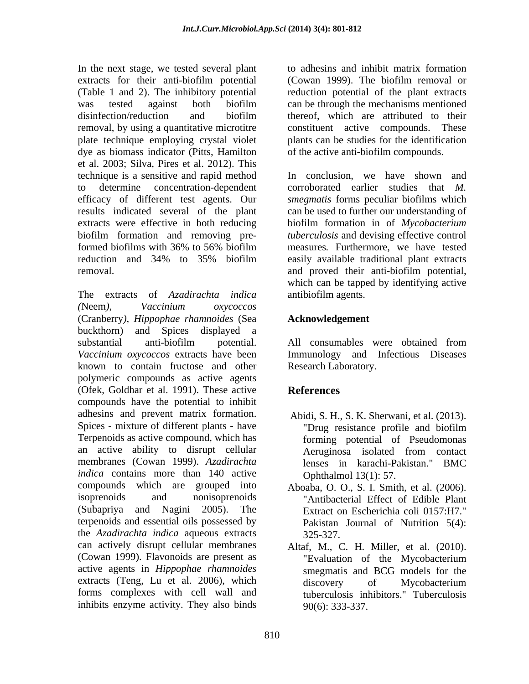In the next stage, we tested several plant extracts for their anti-biofilm potential (Cowan 1999). The biofilm removal or (Table 1 and 2). The inhibitory potential reduction potential of the plant extracts was tested against both biofilm can be through the mechanisms mentioned disinfection/reduction and biofilm thereof, which are attributed to their removal, by using a quantitative microtitre constituent active compounds. These plate technique employing crystal violet plants can be studies for the identification dye as biomass indicator (Pitts, Hamilton et al. 2003; Silva, Pires et al. 2012). This technique is a sensitive and rapid method to determine concentration-dependent corroborated earlier studies that *M.*  efficacy of different test agents. Our *smegmatis* forms peculiar biofilms which results indicated several of the plant can be used to further our understanding of extracts were effective in both reducing biofilm formation in of *Mycobacterium*  biofilm formation and removing pre-*tuberculosis* and devising effective control formed biofilms with 36% to 56% biofilm reduction and 34% to 35% biofilm

The extracts of *Azadirachta indica (*Neem*), Vaccinium oxycoccos* (Cranberry*), Hippophae rhamnoides* (Sea buckthorn) and Spices displayed a substantial anti-biofilm potential. All consumables were obtained from *Vaccinium oxycoccos* extracts have been known to contain fructose and other polymeric compounds as active agents (Ofek, Goldhar et al. 1991). These active compounds have the potential to inhibit adhesins and prevent matrix formation. Abidi, S. H., S. K. Sherwani, et al. (2013). Spices - mixture of different plants - have "Drug resistance profile and biofilm" Terpenoids as active compound, which has an active ability to disrupt cellular membranes (Cowan 1999). *Azadirachta indica* contains more than 140 active compounds which are grouped into Aboaba, O.O., S. I. Smith, et al. (2006). isoprenoids and nonisoprenoids "Antibacterial Effect of Edible Plant (Subapriya and Nagini 2005). The Extract on Escherichia coli 0157:H7." terpenoids and essential oils possessed by the *Azadirachta indica* aqueous extracts can actively disrupt cellular membranes Altaf, M., C. H. Miller, et al. (2010). (Cowan 1999). Flavonoids are present as Tevaluation of the Mycobacterium active agents in *Hippophae rhamnoides* extracts (Teng, Lu et al. 2006), which discovery of Mycobacterium forms complexes with cell wall and inhibits enzyme activity. They also binds

to adhesins and inhibit matrix formation (Cowan 1999). The biofilm removal or thereof, which are attributed to their constituent active compounds. of the active anti-biofilm compounds.

removal. and proved their anti-biofilm potential, In conclusion, we have shown and measures*.* Furthermore, we have tested easily available traditional plant extracts which can be tapped by identifying active antibiofilm agents.

### **Acknowledgement**

All consumables were obtained from Immunology and Infectious Diseases Research Laboratory.

# **References**

- Abidi, S. H., S. K. Sherwani, et al. (2013). "Drug resistance profile and biofilm forming potential of Pseudomonas Aeruginosa isolated from contact lenses in karachi-Pakistan." BMC Ophthalmol 13(1): 57.
- Aboaba, O. O., S. I. Smith, et al. (2006). "Antibacterial Effect of Edible Plant Pakistan Journal of Nutrition 5(4): 325-327.
- "Evaluation of the Mycobacterium smegmatis and BCG models for the discovery of Mycobacterium tuberculosis inhibitors." Tuberculosis 90(6): 333-337.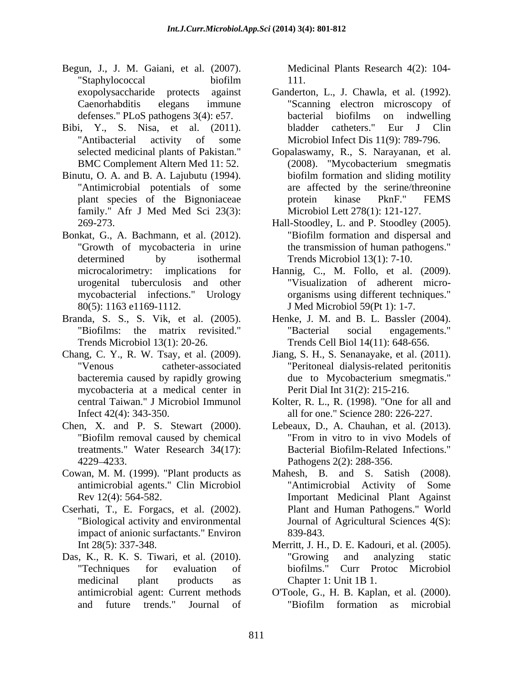- Begun, J., J. M. Gaiani, et al. (2007). "Staphylococcal biofilm
- 
- Binutu, O. A. and B. A. Lajubutu (1994). "Antimicrobial potentials of some family." Afr J Med Med Sci 23(3):
- Bonkat, G., A. Bachmann, et al. (2012). "Biofilm formation and dispersal and "Growth of mycobacteria in urine the transmission of human pathogens." determined by isothermal Trends Microbiol 13(1): 7-10.
- Branda, S. S., S. Vik, et al. (2005). Henke, J. M. and B. L. Bassler (2004).
- mycobacteria at a medical center in
- Chen, X. and P. S. Stewart (2000). treatments." Water Research 34(17):
- Cowan, M. M. (1999). "Plant products as
- Cserhati, T., E. Forgacs, et al. (2002). Plant and Human Pathogens." World "Biological activity and environmental Journal of Agricultural Sciences 4(S): impact of anionic surfactants." Environ
- Das, K., R. K. S. Tiwari, et al. (2010). "Techniques for evaluation of medicinal plant products as Chapter 1: Unit 1B 1.

Medicinal Plants Research 4(2): 104- 111.

- exopolysaccharide protects against Ganderton, L., J. Chawla, et al. (1992). Caenorhabditis elegans immune "Scanning electron microscopy of defenses." PLoS pathogens 3(4): e57. bacterial biofilms on indwelling Bibi, Y., S. Nisa, et al. (2011). bladder catheters." Eur J Clin "Antibacterial activity of some Microbiol Infect Dis 11(9): 789-796. bacterial biofilms on indwelling bladder catheters." Eur J Clin Microbiol Infect Dis 11(9): 789-796.
	- selected medicinal plants of Pakistan." Gopalaswamy, R., S. Narayanan, et al. BMC Complement Altern Med 11:52. (2008). "Mycobacterium smegmatis plant species of the Bignoniaceae brotein kinase PknF." FEMS (2008). "Mycobacterium smegmatis biofilm formation and sliding motility are affected by the serine/threonine protein kinase PknF." FEMS Microbiol Lett 278(1): 121-127.
	- 269-273. Hall-Stoodley, L. and P. Stoodley (2005). Hall-Stoodley, L. and P. Stoodley (2005). "Biofilm formation and dispersal and the transmission of human pathogens."
	- microcalorimetry: implications for Hannig, C., M. Follo, et al. (2009). urogenital tuberculosis and other "Visualization of adherent micro mycobacterial infections." Urology organisms using different techniques." 80(5): 1163 e1169-1112. J Med Microbiol 59(Pt 1): 1-7.
	- "Biofilms: the matrix revisited." "Bacterial social engagements." Trends Microbiol 13(1): 20-26. Trends Cell Biol 14(11): 648-656. "Bacterial social engagements."
- Chang, C. Y., R. W. Tsay, et al. (2009). Jiang, S. H., S. Senanayake, et al. (2011).<br>"Venous catheter-associated "Peritoneal dialysis-related peritonitis bacteremia caused by rapidly growing the due to Mycobacterium smegmatis." "Peritoneal dialysis-related peritonitis due to Mycobacterium smegmatis." Perit Dial Int 31(2): 215-216.
	- central Taiwan." J Microbiol Immunol Kolter, R. L., R. (1998). "One for all and Infect 42(4): 343-350. all for one." Science 280: 226-227.
	- "Biofilm removal caused by chemical 4229 4233. Pathogens 2(2): 288-356. Lebeaux, D., A. Chauhan, et al. (2013). "From in vitro to in vivo Models of Bacterial Biofilm-Related Infections."
	- antimicrobial agents." Clin Microbiol "Antimicrobial Activity of Some Rev 12(4): 564-582. Important Medicinal Plant Against Mahesh, B. and S. Satish (2008). Plant and Human Pathogens." World Journal of Agricultural Sciences 4(S): 839-843.
	- Int 28(5): 337-348. Merritt, J. H., D. E. Kadouri, et al. (2005). "Growing and analyzing static biofilms." Curr Protoc Microbiol Chapter 1: Unit 1B 1.
	- antimicrobial agent: Current methods and future trends." Journal of O'Toole, G., H. B. Kaplan, et al. (2000). "Biofilm formation as microbial